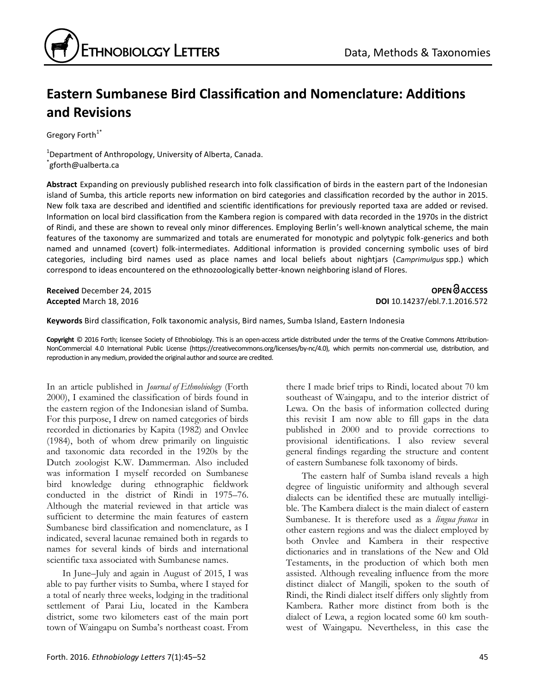# **Eastern Sumbanese Bird Classification and Nomenclature: Additions and Revisions**

Gregory Forth<sup>1\*</sup>

<sup>1</sup>Department of Anthropology, University of Alberta, Canada. \* gforth@ualberta.ca

**Abstract** Expanding on previously published research into folk classification of birds in the eastern part of the Indonesian island of Sumba, this article reports new information on bird categories and classification recorded by the author in 2015. New folk taxa are described and identified and scientific identifications for previously reported taxa are added or revised. Information on local bird classification from the Kambera region is compared with data recorded in the 1970s in the district of Rindi, and these are shown to reveal only minor differences. Employing Berlin's well-known analytical scheme, the main features of the taxonomy are summarized and totals are enumerated for monotypic and polytypic folk-generics and both named and unnamed (covert) folk-intermediates. Additional information is provided concerning symbolic uses of bird categories, including bird names used as place names and local beliefs about nightjars (*Camprimulgus* spp.) which correspond to ideas encountered on the ethnozoologically better-known neighboring island of Flores.

**Received** December 24, 2015 **OPEN ACCESS Accepted** March 18, 2016 **DOI** 10.14237/ebl.7.1.2016.572

**Keywords** Bird classification, Folk taxonomic analysis, Bird names, Sumba Island, Eastern Indonesia

**Copyright** © 2016 Forth; licensee Society of Ethnobiology. This is an open-access article distributed under the terms of the Creative Commons Attribution-NonCommercial 4.0 International Public License (https://creativecommons.org/licenses/by-nc/4.0), which permits non-commercial use, distribution, and reproduction in any medium, provided the original author and source are credited.

In an article published in *Journal of Ethnobiology* (Forth 2000), I examined the classification of birds found in the eastern region of the Indonesian island of Sumba. For this purpose, I drew on named categories of birds recorded in dictionaries by Kapita (1982) and Onvlee (1984), both of whom drew primarily on linguistic and taxonomic data recorded in the 1920s by the Dutch zoologist K.W. Dammerman. Also included was information I myself recorded on Sumbanese bird knowledge during ethnographic fieldwork conducted in the district of Rindi in 1975–76. Although the material reviewed in that article was sufficient to determine the main features of eastern Sumbanese bird classification and nomenclature, as I indicated, several lacunae remained both in regards to names for several kinds of birds and international scientific taxa associated with Sumbanese names.

In June–July and again in August of 2015, I was able to pay further visits to Sumba, where I stayed for a total of nearly three weeks, lodging in the traditional settlement of Parai Liu, located in the Kambera district, some two kilometers east of the main port town of Waingapu on Sumba's northeast coast. From there I made brief trips to Rindi, located about 70 km southeast of Waingapu, and to the interior district of Lewa. On the basis of information collected during this revisit I am now able to fill gaps in the data published in 2000 and to provide corrections to provisional identifications. I also review several general findings regarding the structure and content of eastern Sumbanese folk taxonomy of birds.

The eastern half of Sumba island reveals a high degree of linguistic uniformity and although several dialects can be identified these are mutually intelligible. The Kambera dialect is the main dialect of eastern Sumbanese. It is therefore used as a *lingua franca* in other eastern regions and was the dialect employed by both Onvlee and Kambera in their respective dictionaries and in translations of the New and Old Testaments, in the production of which both men assisted. Although revealing influence from the more distinct dialect of Mangili, spoken to the south of Rindi, the Rindi dialect itself differs only slightly from Kambera. Rather more distinct from both is the dialect of Lewa, a region located some 60 km southwest of Waingapu. Nevertheless, in this case the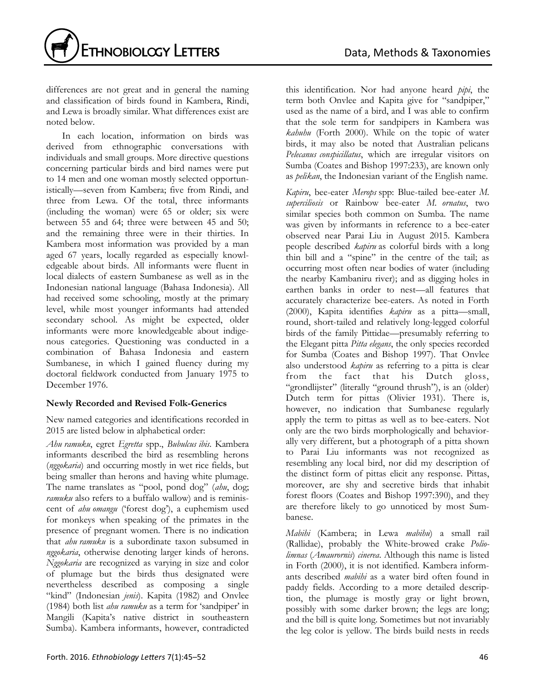

differences are not great and in general the naming and classification of birds found in Kambera, Rindi, and Lewa is broadly similar. What differences exist are noted below.

In each location, information on birds was derived from ethnographic conversations with individuals and small groups. More directive questions concerning particular birds and bird names were put to 14 men and one woman mostly selected opportunistically—seven from Kambera; five from Rindi, and three from Lewa. Of the total, three informants (including the woman) were 65 or older; six were between 55 and 64; three were between 45 and 50; and the remaining three were in their thirties. In Kambera most information was provided by a man aged 67 years, locally regarded as especially knowledgeable about birds. All informants were fluent in local dialects of eastern Sumbanese as well as in the Indonesian national language (Bahasa Indonesia). All had received some schooling, mostly at the primary level, while most younger informants had attended secondary school. As might be expected, older informants were more knowledgeable about indigenous categories. Questioning was conducted in a combination of Bahasa Indonesia and eastern Sumbanese, in which I gained fluency during my doctoral fieldwork conducted from January 1975 to December 1976.

## **Newly Recorded and Revised Folk-Generics**

New named categories and identifications recorded in 2015 are listed below in alphabetical order:

*Ahu ramuku*, egret *Egretta* spp., *Bubulcus ibis*. Kambera informants described the bird as resembling herons (*nggokaria*) and occurring mostly in wet rice fields, but being smaller than herons and having white plumage. The name translates as "pool, pond dog" (*ahu*, dog; *ramuku* also refers to a buffalo wallow) and is reminiscent of *ahu omangu* ('forest dog'), a euphemism used for monkeys when speaking of the primates in the presence of pregnant women. There is no indication that *ahu ramuku* is a subordinate taxon subsumed in *nggokaria*, otherwise denoting larger kinds of herons. *Nggokaria* are recognized as varying in size and color of plumage but the birds thus designated were nevertheless described as composing a single "kind" (Indonesian *jenis*). Kapita (1982) and Onvlee (1984) both list *ahu ramuku* as a term for 'sandpiper' in Mangili (Kapita's native district in southeastern Sumba). Kambera informants, however, contradicted

this identification. Nor had anyone heard *pipi*, the term both Onvlee and Kapita give for "sandpiper," used as the name of a bird, and I was able to confirm that the sole term for sandpipers in Kambera was *kahuhu* (Forth 2000). While on the topic of water birds, it may also be noted that Australian pelicans *Pelecanus conspicillatus*, which are irregular visitors on Sumba (Coates and Bishop 1997:233), are known only as *pelikan*, the Indonesian variant of the English name.

*Kapiru*, bee-eater *Merops* spp: Blue-tailed bee-eater *M. superciliosis* or Rainbow bee-eater *M. ornatus*, two similar species both common on Sumba. The name was given by informants in reference to a bee-eater observed near Parai Liu in August 2015. Kambera people described *kapiru* as colorful birds with a long thin bill and a "spine" in the centre of the tail; as occurring most often near bodies of water (including the nearby Kambaniru river); and as digging holes in earthen banks in order to nest—all features that accurately characterize bee-eaters. As noted in Forth (2000), Kapita identifies *kapiru* as a pitta—small, round, short-tailed and relatively long-legged colorful birds of the family Pittidae—presumably referring to the Elegant pitta *Pitta elegans*, the only species recorded for Sumba (Coates and Bishop 1997). That Onvlee also understood *kapiru* as referring to a pitta is clear from the fact that his Dutch gloss, "grondlijster" (literally "ground thrush"), is an (older) Dutch term for pittas (Olivier 1931). There is, however, no indication that Sumbanese regularly apply the term to pittas as well as to bee-eaters. Not only are the two birds morphologically and behaviorally very different, but a photograph of a pitta shown to Parai Liu informants was not recognized as resembling any local bird, nor did my description of the distinct form of pittas elicit any response. Pittas, moreover, are shy and secretive birds that inhabit forest floors (Coates and Bishop 1997:390), and they are therefore likely to go unnoticed by most Sumbanese.

*Mabihi* (Kambera; in Lewa *mabihu*) a small rail (Rallidae), probably the White-browed crake *Poliolimnas* (*Amaurornis*) *cinerea*. Although this name is listed in Forth (2000), it is not identified. Kambera informants described *mabihi* as a water bird often found in paddy fields. According to a more detailed description, the plumage is mostly gray or light brown, possibly with some darker brown; the legs are long; and the bill is quite long. Sometimes but not invariably the leg color is yellow. The birds build nests in reeds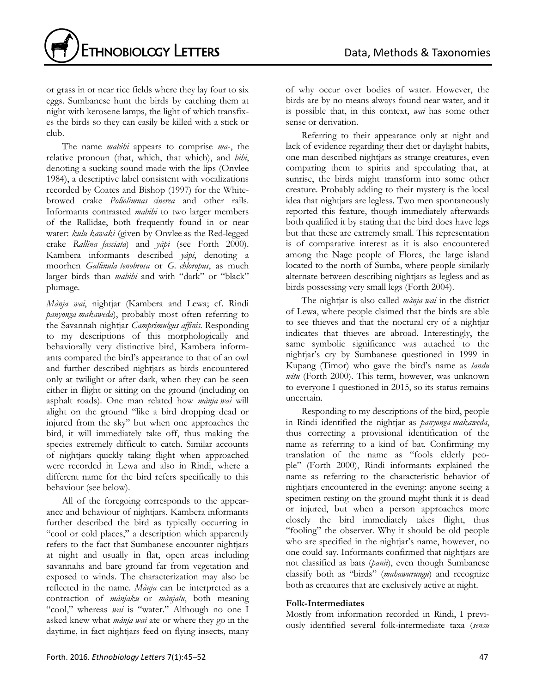

or grass in or near rice fields where they lay four to six eggs. Sumbanese hunt the birds by catching them at night with kerosene lamps, the light of which transfixes the birds so they can easily be killed with a stick or club.

The name *mabihi* appears to comprise *ma*-, the relative pronoun (that, which, that which), and *bihi*, denoting a sucking sound made with the lips (Onvlee 1984), a descriptive label consistent with vocalizations recorded by Coates and Bishop (1997) for the Whitebrowed crake *Poliolimnas cinerea* and other rails. Informants contrasted *mabihi* to two larger members of the Rallidae, both frequently found in or near water: *kulu kawaki* (given by Onvlee as the Red-legged crake *Rallina fasciata*) and *yàpi* (see Forth 2000). Kambera informants described *yàpi*, denoting a moorhen *Gallinula tenobrosa* or *G. chloropus*, as much larger birds than *mabihi* and with "dark" or "black" plumage.

*Mànja wai*, nightjar (Kambera and Lewa; cf. Rindi *panyonga makaweda*), probably most often referring to the Savannah nightjar *Camprimulgus affinis*. Responding to my descriptions of this morphologically and behaviorally very distinctive bird, Kambera informants compared the bird's appearance to that of an owl and further described nightjars as birds encountered only at twilight or after dark, when they can be seen either in flight or sitting on the ground (including on asphalt roads). One man related how *mànja wai* will alight on the ground "like a bird dropping dead or injured from the sky" but when one approaches the bird, it will immediately take off, thus making the species extremely difficult to catch. Similar accounts of nightjars quickly taking flight when approached were recorded in Lewa and also in Rindi, where a different name for the bird refers specifically to this behaviour (see below).

All of the foregoing corresponds to the appearance and behaviour of nightjars. Kambera informants further described the bird as typically occurring in "cool or cold places," a description which apparently refers to the fact that Sumbanese encounter nightjars at night and usually in flat, open areas including savannahs and bare ground far from vegetation and exposed to winds. The characterization may also be reflected in the name. *Mànja* can be interpreted as a contraction of *mànjaku* or *mànjalu*, both meaning "cool," whereas *wai* is "water." Although no one I asked knew what *mànja wai* ate or where they go in the daytime, in fact nightjars feed on flying insects, many of why occur over bodies of water. However, the birds are by no means always found near water, and it is possible that, in this context, *wai* has some other sense or derivation.

Referring to their appearance only at night and lack of evidence regarding their diet or daylight habits, one man described nightjars as strange creatures, even comparing them to spirits and speculating that, at sunrise, the birds might transform into some other creature. Probably adding to their mystery is the local idea that nightjars are legless. Two men spontaneously reported this feature, though immediately afterwards both qualified it by stating that the bird does have legs but that these are extremely small. This representation is of comparative interest as it is also encountered among the Nage people of Flores, the large island located to the north of Sumba, where people similarly alternate between describing nightjars as legless and as birds possessing very small legs (Forth 2004).

The nightjar is also called *mànja wai* in the district of Lewa, where people claimed that the birds are able to see thieves and that the noctural cry of a nightjar indicates that thieves are abroad. Interestingly, the same symbolic significance was attached to the nightjar's cry by Sumbanese questioned in 1999 in Kupang (Timor) who gave the bird's name as *landu witu* (Forth 2000). This term, however, was unknown to everyone I questioned in 2015, so its status remains uncertain.

Responding to my descriptions of the bird, people in Rindi identified the nightjar as *panyonga makaweda*, thus correcting a provisional identification of the name as referring to a kind of bat. Confirming my translation of the name as "fools elderly people" (Forth 2000), Rindi informants explained the name as referring to the characteristic behavior of nightjars encountered in the evening: anyone seeing a specimen resting on the ground might think it is dead or injured, but when a person approaches more closely the bird immediately takes flight, thus "fooling" the observer. Why it should be old people who are specified in the nightjar's name, however, no one could say. Informants confirmed that nightjars are not classified as bats (*panii*), even though Sumbanese classify both as "birds" (*mahawurungu*) and recognize both as creatures that are exclusively active at night.

## **Folk-Intermediates**

Mostly from information recorded in Rindi, I previously identified several folk-intermediate taxa (*sensu*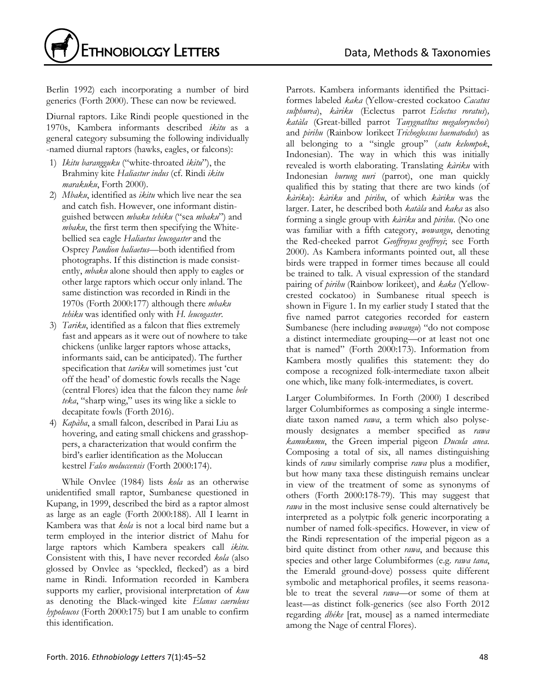

Berlin 1992) each incorporating a number of bird generics (Forth 2000). These can now be reviewed.

Diurnal raptors. Like Rindi people questioned in the 1970s, Kambera informants described *ikitu* as a general category subsuming the following individually -named diurnal raptors (hawks, eagles, or falcons):

- 1) *Ikitu barangguku* ("white-throated *ikitu*"), the Brahminy kite *Haliastur indus* (cf. Rindi *ikitu marakuku*, Forth 2000).
- 2) *Mbaku*, identified as *ikitu* which live near the sea and catch fish. However, one informant distinguished between *mbaku tehiku* ("sea *mbaku*") and *mbaku*, the first term then specifying the Whitebellied sea eagle *Haliaetus leucogaster* and the Osprey *Pandion haliaetus—*both identified from photographs. If this distinction is made consistently, *mbaku* alone should then apply to eagles or other large raptors which occur only inland. The same distinction was recorded in Rindi in the 1970s (Forth 2000:177) although there *mbaku tehiku* was identified only with *H. leucogaster*.
- 3) *Tariku*, identified as a falcon that flies extremely fast and appears as it were out of nowhere to take chickens (unlike larger raptors whose attacks, informants said, can be anticipated). The further specification that *tariku* will sometimes just 'cut off the head' of domestic fowls recalls the Nage (central Flores) idea that the falcon they name *bele teka*, "sharp wing," uses its wing like a sickle to decapitate fowls (Forth 2016).
- 4) *Kapàha*, a small falcon, described in Parai Liu as hovering, and eating small chickens and grasshoppers, a characterization that would confirm the bird's earlier identification as the Moluccan kestrel *Falco moluccensis* (Forth 2000:174).

While Onvlee (1984) lists *kola* as an otherwise unidentified small raptor, Sumbanese questioned in Kupang, in 1999, described the bird as a raptor almost as large as an eagle (Forth 2000:188). All I learnt in Kambera was that *kola* is not a local bird name but a term employed in the interior district of Mahu for large raptors which Kambera speakers call *ikitu*. Consistent with this, I have never recorded *kola* (also glossed by Onvlee as 'speckled, flecked') as a bird name in Rindi. Information recorded in Kambera supports my earlier, provisional interpretation of *kuu* as denoting the Black-winged kite *Elanus caeruleus hypoleucos* (Forth 2000:175) but I am unable to confirm this identification.

Parrots. Kambera informants identified the Psittaciformes labeled *kaka* (Yellow-crested cockatoo *Cacatus sulphurea*), *kàriku* (Eclectus parrot *Eclectus roratus*)*, katàla* (Great-billed parrot *Tanygnatltus megalorynchos*) and *pirihu* (Rainbow lorikeet *Trichoglossus haematodus*) as all belonging to a "single group" (*satu kelompok*, Indonesian). The way in which this was initially revealed is worth elaborating. Translating *kàriku* with Indonesian *burung nuri* (parrot), one man quickly qualified this by stating that there are two kinds (of *kàriku*): *kàriku* and *pirihu*, of which *kàriku* was the larger. Later, he described both *katàla* and *kaka* as also forming a single group with *kàriku* and *pirihu*. (No one was familiar with a fifth category, *wowangu*, denoting the Red-cheeked parrot *Geoffroyus geoffroyi*; see Forth 2000). As Kambera informants pointed out, all these birds were trapped in former times because all could be trained to talk. A visual expression of the standard pairing of *pirihu* (Rainbow lorikeet), and *kaka* (Yellowcrested cockatoo) in Sumbanese ritual speech is shown in Figure 1. In my earlier study I stated that the five named parrot categories recorded for eastern Sumbanese (here including *wowangu*) "do not compose a distinct intermediate grouping—or at least not one that is named" (Forth 2000:173). Information from Kambera mostly qualifies this statement: they do compose a recognized folk-intermediate taxon albeit one which, like many folk-intermediates, is covert.

Larger Columbiformes. In Forth (2000) I described larger Columbiformes as composing a single intermediate taxon named *rawa*, a term which also polysemously designates a member specified as *rawa kamukumu*, the Green imperial pigeon *Ducula anea*. Composing a total of six, all names distinguishing kinds of *rawa* similarly comprise *rawa* plus a modifier, but how many taxa these distinguish remains unclear in view of the treatment of some as synonyms of others (Forth 2000:178-79). This may suggest that *rawa* in the most inclusive sense could alternatively be interpreted as a polytpic folk generic incorporating a number of named folk-specifics. However, in view of the Rindi representation of the imperial pigeon as a bird quite distinct from other *rawa*, and because this species and other large Columbiformes (e.g. *rawa tana*, the Emerald ground-dove) possess quite different symbolic and metaphorical profiles, it seems reasonable to treat the several *rawa*—or some of them at least—as distinct folk-generics (see also Forth 2012 regarding *dhéke* [rat, mouse] as a named intermediate among the Nage of central Flores).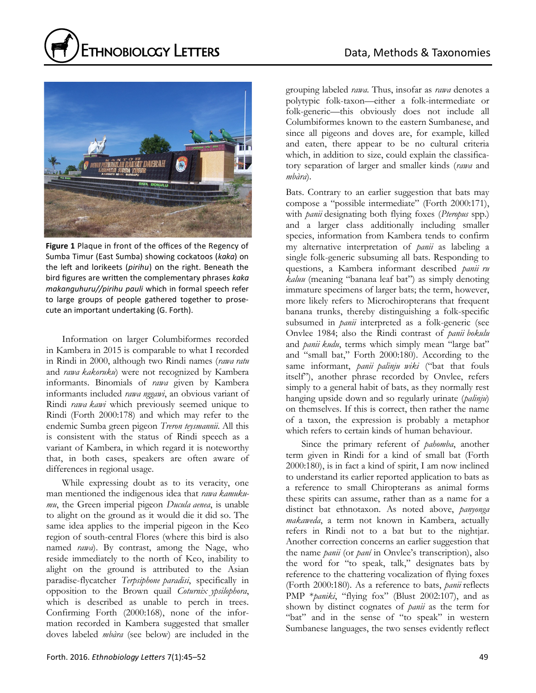



**Figure 1** Plaque in front of the offices of the Regency of Sumba Timur (East Sumba) showing cockatoos (*kaka*) on the left and lorikeets (*pirihu*) on the right. Beneath the bird figures are written the complementary phrases *kaka makanguhuru//pirihu pauli* which in formal speech refer to large groups of people gathered together to prosecute an important undertaking (G. Forth).

Information on larger Columbiformes recorded in Kambera in 2015 is comparable to what I recorded in Rindi in 2000, although two Rindi names (*rawa ratu* and *rawa kakoruku*) were not recognized by Kambera informants. Binomials of *rawa* given by Kambera informants included *rawa nggawi*, an obvious variant of Rindi *rawa kawi* which previously seemed unique to Rindi (Forth 2000:178) and which may refer to the endemic Sumba green pigeon *Treron teysmannii*. All this is consistent with the status of Rindi speech as a variant of Kambera, in which regard it is noteworthy that, in both cases, speakers are often aware of differences in regional usage.

While expressing doubt as to its veracity, one man mentioned the indigenous idea that *rawa kamukumu*, the Green imperial pigeon *Ducula aenea*, is unable to alight on the ground as it would die it did so. The same idea applies to the imperial pigeon in the Keo region of south-central Flores (where this bird is also named *rawa*). By contrast, among the Nage, who reside immediately to the north of Keo, inability to alight on the ground is attributed to the Asian paradise-flycatcher *Terpsiphone paradisi*, specifically in opposition to the Brown quail *Coturnix ypsilophora*, which is described as unable to perch in trees. Confirming Forth (2000:168), none of the information recorded in Kambera suggested that smaller doves labeled *mbàra* (see below) are included in the grouping labeled *rawa*. Thus, insofar as *rawa* denotes a polytypic folk-taxon—either a folk-intermediate or folk-generic—this obviously does not include all Columbiformes known to the eastern Sumbanese, and since all pigeons and doves are, for example, killed and eaten, there appear to be no cultural criteria which, in addition to size, could explain the classificatory separation of larger and smaller kinds (*rawa* and *mbàra*).

Bats. Contrary to an earlier suggestion that bats may compose a "possible intermediate" (Forth 2000:171), with *panii* designating both flying foxes (*Pteropus* spp.) and a larger class additionally including smaller species, information from Kambera tends to confirm my alternative interpretation of *panii* as labeling a single folk-generic subsuming all bats. Responding to questions, a Kambera informant described *panii ru kaluu* (meaning "banana leaf bat") as simply denoting immature specimens of larger bats; the term, however, more likely refers to Microchiropterans that frequent banana trunks, thereby distinguishing a folk-specific subsumed in *panii* interpreted as a folk-generic (see Onvlee 1984; also the Rindi contrast of *panii bokulu* and *panii kudu*, terms which simply mean "large bat" and "small bat," Forth 2000:180). According to the same informant, *panii palinju wiki* ("bat that fouls itself"), another phrase recorded by Onvlee, refers simply to a general habit of bats, as they normally rest hanging upside down and so regularly urinate (*palinju*) on themselves. If this is correct, then rather the name of a taxon, the expression is probably a metaphor which refers to certain kinds of human behaviour.

Since the primary referent of *pahomba*, another term given in Rindi for a kind of small bat (Forth 2000:180), is in fact a kind of spirit, I am now inclined to understand its earlier reported application to bats as a reference to small Chiropterans as animal forms these spirits can assume, rather than as a name for a distinct bat ethnotaxon. As noted above, *panyonga makaweda*, a term not known in Kambera, actually refers in Rindi not to a bat but to the nightjar. Another correction concerns an earlier suggestion that the name *panii* (or *paní* in Onvlee's transcription), also the word for "to speak, talk," designates bats by reference to the chattering vocalization of flying foxes (Forth 2000:180). As a reference to bats, *panii* reflects PMP \**paniki*, "flying fox" (Blust 2002:107), and as shown by distinct cognates of *panii* as the term for "bat" and in the sense of "to speak" in western Sumbanese languages, the two senses evidently reflect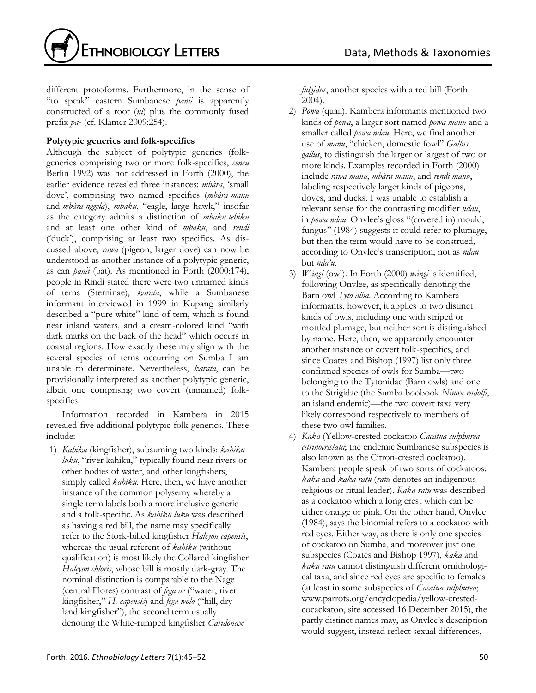

different protoforms. Furthermore, in the sense of "to speak" eastern Sumbanese *panii* is apparently constructed of a root (*ni*) plus the commonly fused prefix *pa*- (cf. Klamer 2009:254).

## **Polytypic generics and folk-specifics**

Although the subject of polytypic generics (folkgenerics comprising two or more folk-specifics, *sensu* Berlin 1992) was not addressed in Forth (2000), the earlier evidence revealed three instances: *mbàra*, 'small dove', comprising two named specifics (*mbàra manu*  and *mbàra nggela*), *mbaku*, "eagle, large hawk," insofar as the category admits a distinction of *mbaku tehiku* and at least one other kind of *mbaku*, and *rendi* ('duck'), comprising at least two specifics. As discussed above, *rawa* (pigeon, larger dove) can now be understood as another instance of a polytypic generic, as can *panii* (bat). As mentioned in Forth (2000:174), people in Rindi stated there were two unnamed kinds of terns (Sterninae), *karata*, while a Sumbanese informant interviewed in 1999 in Kupang similarly described a "pure white" kind of tern, which is found near inland waters, and a cream-colored kind "with dark marks on the back of the head" which occurs in coastal regions. How exactly these may align with the several species of terns occurring on Sumba I am unable to determinate. Nevertheless, *karata*, can be provisionally interpreted as another polytypic generic, albeit one comprising two covert (unnamed) folkspecifics.

Information recorded in Kambera in 2015 revealed five additional polytypic folk-generics. These include:

1) *Kahiku* (kingfisher), subsuming two kinds: *kahiku luku*, "river kahiku," typically found near rivers or other bodies of water, and other kingfishers, simply called *kahiku*. Here, then, we have another instance of the common polysemy whereby a single term labels both a more inclusive generic and a folk-specific. As *kahiku luku* was described as having a red bill, the name may specifically refer to the Stork-billed kingfisher *Halcyon capensis*, whereas the usual referent of *kahiku* (without qualification) is most likely the Collared kingfisher *Halcyon chloris*, whose bill is mostly dark-gray. The nominal distinction is comparable to the Nage (central Flores) contrast of *fega ae* ("water, river kingfisher," *H. capensis*) and *fega wolo* ("hill, dry land kingfisher"), the second term usually denoting the White-rumped kingfisher *Caridonax* 

*fulgidus*, another species with a red bill (Forth 2004).

- 2) *Powa* (quail). Kambera informants mentioned two kinds of *powa*, a larger sort named *powa manu* and a smaller called *powa ndau*. Here, we find another use of *manu*, "chicken, domestic fowl" *Gallus gallus*, to distinguish the larger or largest of two or more kinds. Examples recorded in Forth (2000) include *rawa manu*, *mbàra manu*, and *rendi manu*, labeling respectively larger kinds of pigeons, doves, and ducks. I was unable to establish a relevant sense for the contrasting modifier *ndau*, in *powa ndau*. Onvlee's gloss "(covered in) mould, fungus" (1984) suggests it could refer to plumage, but then the term would have to be construed, according to Onvlee's transcription, not as *ndau* but *nda'u*.
- 3) *Wàngi* (owl). In Forth (2000) *wàngi* is identified, following Onvlee, as specifically denoting the Barn owl *Tyto alba*. According to Kambera informants, however, it applies to two distinct kinds of owls, including one with striped or mottled plumage, but neither sort is distinguished by name. Here, then, we apparently encounter another instance of covert folk-specifics, and since Coates and Bishop (1997) list only three confirmed species of owls for Sumba—two belonging to the Tytonidae (Barn owls) and one to the Strigidae (the Sumba boobook *Ninox rudolfi*, an island endemic)—the two covert taxa very likely correspond respectively to members of these two owl families.
- 4) *Kaka* (Yellow-crested cockatoo *Cacatua sulphurea citrinocristata*; the endemic Sumbanese subspecies is also known as the Citron-crested cockatoo). Kambera people speak of two sorts of cockatoos: *kaka* and *kaka ratu* (*ratu* denotes an indigenous religious or ritual leader). *Kaka ratu* was described as a cockatoo which a long crest which can be either orange or pink. On the other hand, Onvlee (1984), says the binomial refers to a cockatoo with red eyes. Either way, as there is only one species of cockatoo on Sumba, and moreover just one subspecies (Coates and Bishop 1997), *kaka* and *kaka ratu* cannot distinguish different ornithological taxa, and since red eyes are specific to females (at least in some subspecies of *Cacatua sulphurea*; www.parrots.org/encyclopedia/yellow-crestedcocackatoo, site accessed 16 December 2015), the partly distinct names may, as Onvlee's description would suggest, instead reflect sexual differences,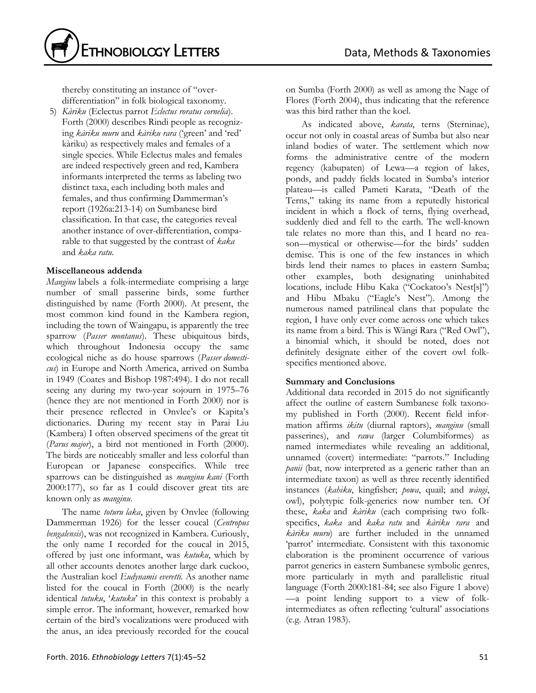

thereby constituting an instance of "overdifferentiation" in folk biological taxonomy.

5) *Kàriku* (Eclectus parrot *Eclectus roratus cornelia*). Forth (2000) describes Rindi people as recognizing *kàriku muru* and *kàriku rara* ('green' and 'red' kàriku) as respectively males and females of a single species. While Eclectus males and females are indeed respectively green and red, Kambera informants interpreted the terms as labeling two distinct taxa, each including both males and females, and thus confirming Dammerman's report (1926a:213-14) on Sumbanese bird classification. In that case, the categories reveal another instance of over-differentiation, comparable to that suggested by the contrast of *kaka* and *kaka ratu*.

## **Miscellaneous addenda**

*Manginu* labels a folk-intermediate comprising a large number of small passerine birds, some further distinguished by name (Forth 2000). At present, the most common kind found in the Kambera region, including the town of Waingapu, is apparently the tree sparrow (*Passer montanus*). These ubiquitous birds, which throughout Indonesia occupy the same ecological niche as do house sparrows (*Passer domesticus*) in Europe and North America, arrived on Sumba in 1949 (Coates and Bishop 1987:494). I do not recall seeing any during my two-year sojourn in 1975–76 (hence they are not mentioned in Forth 2000) nor is their presence reflected in Onvlee's or Kapita's dictionaries. During my recent stay in Parai Liu (Kambera) I often observed specimens of the great tit (*Parus major*), a bird not mentioned in Forth (2000). The birds are noticeably smaller and less colorful than European or Japanese conspecifics. While tree sparrows can be distinguished as *manginu kani* (Forth 2000:177), so far as I could discover great tits are known only as *manginu*.

The name *toturu laka*, given by Onvlee (following Dammerman 1926) for the lesser coucal (*Centropus bengalensis*), was not recognized in Kambera. Curiously, the only name I recorded for the coucal in 2015, offered by just one informant, was *kutuku*, which by all other accounts denotes another large dark cuckoo, the Australian koel *Eudynamis everetti*. As another name listed for the coucal in Forth (2000) is the nearly identical *tutuku*, '*kutuku*' in this context is probably a simple error. The informant, however, remarked how certain of the bird's vocalizations were produced with the anus, an idea previously recorded for the coucal

on Sumba (Forth 2000) as well as among the Nage of Flores (Forth 2004), thus indicating that the reference was this bird rather than the koel.

As indicated above, *karata*, terns (Sterninae), occur not only in coastal areas of Sumba but also near inland bodies of water. The settlement which now forms the administrative centre of the modern regency (kabupaten) of Lewa—a region of lakes, ponds, and paddy fields located in Sumba's interior plateau—is called Pameti Karata, "Death of the Terns," taking its name from a reputedly historical incident in which a flock of terns, flying overhead, suddenly died and fell to the earth. The well-known tale relates no more than this, and I heard no reason—mystical or otherwise—for the birds' sudden demise. This is one of the few instances in which birds lend their names to places in eastern Sumba; other examples, both designating uninhabited locations, include Hibu Kaka ("Cockatoo's Nest[s]") and Hibu Mbaku ("Eagle's Nest"). Among the numerous named patrilineal clans that populate the region, I have only ever come across one which takes its name from a bird. This is Wàngi Rara ("Red Owl"), a binomial which, it should be noted, does not definitely designate either of the covert owl folkspecifics mentioned above.

## **Summary and Conclusions**

Additional data recorded in 2015 do not significantly affect the outline of eastern Sumbanese folk taxonomy published in Forth (2000). Recent field information affirms *ikitu* (diurnal raptors), *manginu* (small passerines), and *rawa* (larger Columbiformes) as named intermediates while revealing an additional, unnamed (covert) intermediate: "parrots." Including *panii* (bat, now interpreted as a generic rather than an intermediate taxon) as well as three recently identified instances (*kahiku*, kingfisher; *powa*, quail; and *wàngi*, owl), polytypic folk-generics now number ten. Of these, *kaka* and *kàriku* (each comprising two folkspecifics, *kaka* and *kaka ratu* and *kàriku rara* and *kàriku muru*) are further included in the unnamed 'parrot' intermediate. Consistent with this taxonomic elaboration is the prominent occurrence of various parrot generics in eastern Sumbanese symbolic genres, more particularly in myth and parallelistic ritual language (Forth 2000:181-84; see also Figure 1 above) —a point lending support to a view of folkintermediates as often reflecting 'cultural' associations (e.g. Atran 1983).